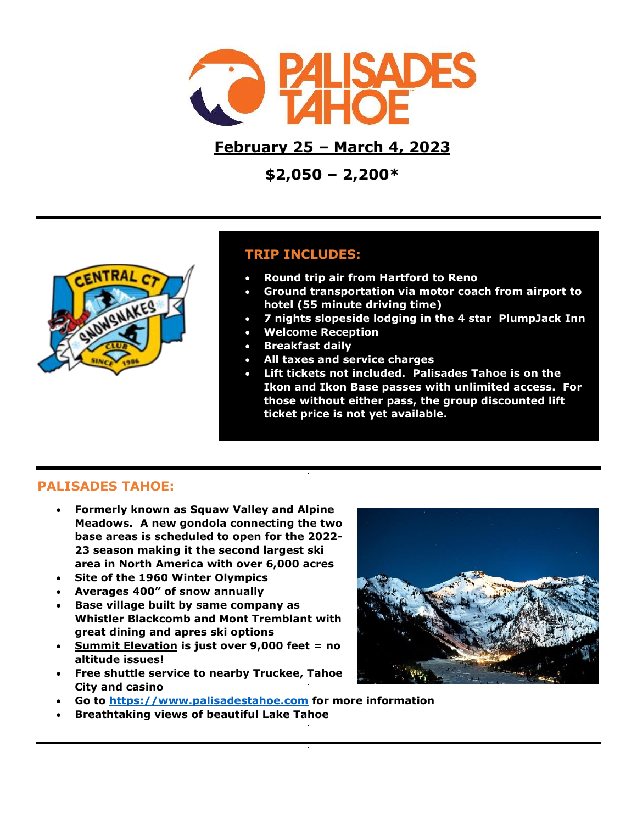

**February 25 – March 4, 2023**

**\$2,050 – 2,200\***



# **TRIP INCLUDES:**

- **Round trip air from Hartford to Reno**
- **Ground transportation via motor coach from airport to hotel (55 minute driving time)**
- **7 nights slopeside lodging in the 4 star PlumpJack Inn**
- **Welcome Reception**
- **Breakfast daily**
- **All taxes and service charges**
- **Lift tickets not included. Palisades Tahoe is on the Ikon and Ikon Base passes with unlimited access. For those without either pass, the group discounted lift ticket price is not yet available.**

# **PALISADES TAHOE:**

- **Formerly known as Squaw Valley and Alpine Meadows. A new gondola connecting the two base areas is scheduled to open for the 2022- 23 season making it the second largest ski area in North America with over 6,000 acres**
- **Site of the 1960 Winter Olympics**
- **Averages 400" of snow annually**
- **Base village built by same company as Whistler Blackcomb and Mont Tremblant with great dining and apres ski options**
- **Summit Elevation is just over 9,000 feet = no altitude issues!**
- **Free shuttle service to nearby Truckee, Tahoe City and casino**



- **Go to [https://www.palisadestahoe.com](https://www.palisadestahoe.com/) for more information**
- **Breathtaking views of beautiful Lake Tahoe**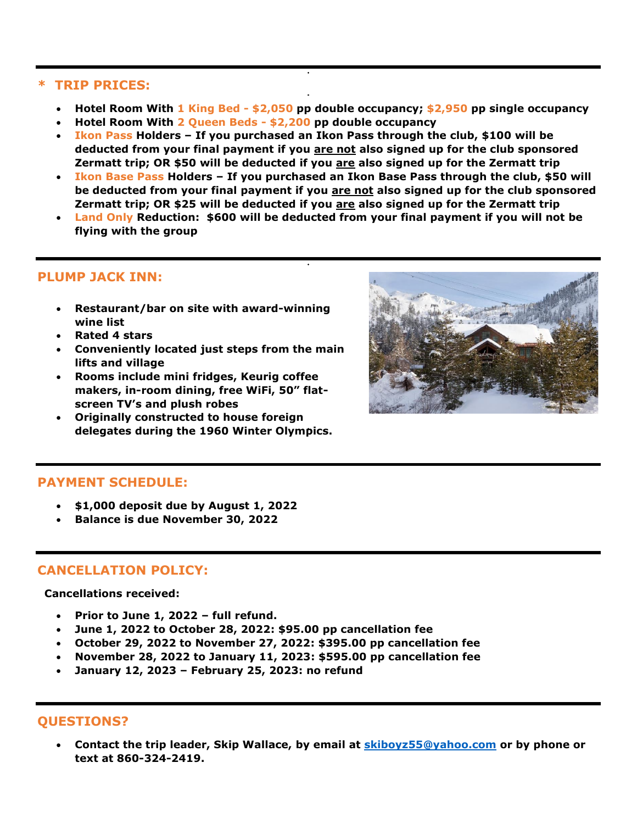#### **\* TRIP PRICES:**

- **Hotel Room With 1 King Bed - \$2,050 pp double occupancy; \$2,950 pp single occupancy**
- **Hotel Room With 2 Queen Beds - \$2,200 pp double occupancy**
- **Ikon Pass Holders – If you purchased an Ikon Pass through the club, \$100 will be deducted from your final payment if you are not also signed up for the club sponsored Zermatt trip; OR \$50 will be deducted if you are also signed up for the Zermatt trip**
- **Ikon Base Pass Holders – If you purchased an Ikon Base Pass through the club, \$50 will be deducted from your final payment if you are not also signed up for the club sponsored Zermatt trip; OR \$25 will be deducted if you are also signed up for the Zermatt trip**
- **Land Only Reduction: \$600 will be deducted from your final payment if you will not be flying with the group**

# **PLUMP JACK INN:**

- **Restaurant/bar on site with award-winning wine list**
- **Rated 4 stars**
- **Conveniently located just steps from the main lifts and village**
- **Rooms include mini fridges, Keurig coffee makers, in-room dining, free WiFi, 50" flatscreen TV's and plush robes**
- **Originally constructed to house foreign delegates during the 1960 Winter Olympics.**



# **PAYMENT SCHEDULE:**

- **\$1,000 deposit due by August 1, 2022**
- **Balance is due November 30, 2022**

### **CANCELLATION POLICY:**

 **Cancellations received:**

- **Prior to June 1, 2022 – full refund.**
- **June 1, 2022 to October 28, 2022: \$95.00 pp cancellation fee**
- **October 29, 2022 to November 27, 2022: \$395.00 pp cancellation fee**
- **November 28, 2022 to January 11, 2023: \$595.00 pp cancellation fee**
- **January 12, 2023 – February 25, 2023: no refund**

### **QUESTIONS?**

• **Contact the trip leader, Skip Wallace, by email at [skiboyz55@yahoo.com](mailto:skiboyz55@yahoo.com) or by phone or text at 860-324-2419.**